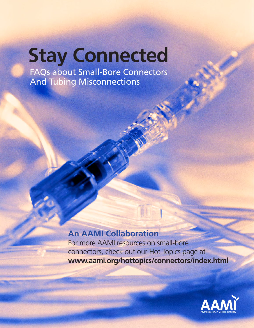## **Stay Connected**

FAQs about Small-Bore Connectors And Tubing Misconnections

### **An AAMI Collaboration**

For more AAMI resources on small-bore connectors, check out our Hot Topics page at **www.aami.org/hottopics/connectors/index.html**

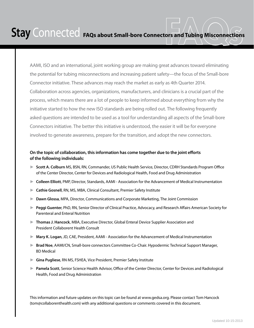AAMI, ISO and an international, joint working group are making great advances toward eliminating the potential for tubing misconnections and increasing patient safety—the focus of the Small-bore Connector initiative. These advances may reach the market as early as 4th Quarter 2014. Collaboration across agencies, organizations, manufacturers, and clinicians is a crucial part of the process, which means there are a lot of people to keep informed about everything from why the initiative started to how the new ISO standards are being rolled out. The following frequently asked questions are intended to be used as a tool for understanding all aspects of the Small-bore Connectors initiative. The better this initiative is understood, the easier it will be for everyone involved to generate awareness, prepare for the transition, and adopt the new connectors.

### **On the topic of collaboration, this information has come together due to the joint efforts of the following individuals:**

- ► **Scott A. Colburn** MS, BSN, RN, Commander, US Public Health Service, Director, CDRH Standards Program Office of the Center Director, Center for Devices and Radiological Health, Food and Drug Administration
- ► **Colleen Elliott**, PMP, Director, Standards, AAMI Association for the Advancement of Medical Instrumentation
- ► Cathie Gosnell, RN, MS, MBA, Clinical Consultant, Premier Safety Institute
- ► **Dawn Glossa**, MPA, Director, Communications and Corporate Marketing, The Joint Commission
- ► **Peggi Guenter**, PhD, RN, Senior Director of Clinical Practice, Advocacy, and Research Affairs American Society for Parenteral and Enteral Nutrition
- ► **Thomas J. Hancock**, MBA, Executive Director, Global Enteral Device Supplier Association and President Collaborent Health Consult
- ► **Mary K. Logan**, JD, CAE, President, AAMI Association for the Advancement of Medical Instrumentation
- ► **Brad Noe**, AAMI/CN, Small-bore connectors Committee Co-Chair. Hypodermic Technical Support Manager, BD Medical
- ► Gina Pugliese, RN MS, FSHEA, Vice President, Premier Safety Institute
- ▶ **Pamela Scott**, Senior Science Health Advisor, Office of the Center Director, Center for Devices and Radiological Health, Food and Drug Administration

This information and future updates on this topic can be found at www.gedsa.org. Please contact Tom Hancock (tom@collaborenthealth.com) with any additional questions or comments covered in this document.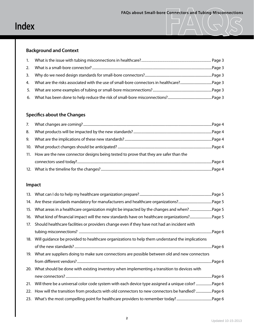### **Background and Context**

### **Specifics about the Changes**

| 8. |                                                                                          |
|----|------------------------------------------------------------------------------------------|
|    |                                                                                          |
|    |                                                                                          |
|    | 11. How are the new connector designs being tested to prove that they are safer than the |
|    |                                                                                          |
|    |                                                                                          |

### **Impact**

|     | Page 5.                                                                                           |
|-----|---------------------------------------------------------------------------------------------------|
| 14. |                                                                                                   |
| 15. |                                                                                                   |
| 16. |                                                                                                   |
| 17. | Should healthcare facilities or providers change even if they have not had an incident with       |
|     |                                                                                                   |
| 18. | Will guidance be provided to healthcare organizations to help them understand the implications    |
|     |                                                                                                   |
| 19. | What are suppliers doing to make sure connections are possible between old and new connectors     |
|     |                                                                                                   |
|     | 20. What should be done with existing inventory when implementing a transition to devices with    |
|     |                                                                                                   |
| 21. | Will there be a universal color code system with each device type assigned a unique color? Page 6 |
| 22. | How will the transition from products with old connectors to new connectors be handled?Page 6     |
| 23. |                                                                                                   |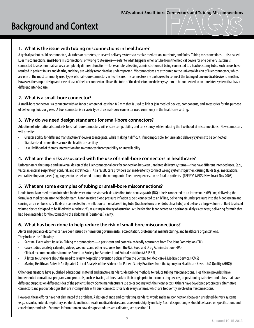# FAQs about Small-bore Connectors and Tubing Misconnections<br> **Background and Context**

### **1. What is the issue with tubing misconnections in healthcare?**

A typical patient could be connected, via tubes or catheters, to several delivery systems to receive medication, nutrients, and fluids. Tubing misconnections—also called Luer misconnections, small-bore misconnections, or wrong route errors— refer to what happens when a tube from the medical device for one delivery system is connected to a system that serves a completely different function—for example, a feeding administration set being connected to a tracheostomy tube. Such errors have resulted in patient injury and deaths, and they are widely recognized as underreported. Misconnections are attributed to the universal design of Luer connectors, which are one of the most commonly used types of small-bore connectors in healthcare. The connectors are parts used to connect the tubing of one medical device to another. However, the simple design and ease of use of the Luer connector allows the tube of the device for one delivery system to be connected to an unrelated system that has a different intended use.

### **2. What is a small-bore connector?**

A small-bore connector is a connector with an inner diameter of less than 8.5 mm that is used to link or join medical devices, components, and accessories for the purpose of delivering fluids or gases. A Luer connector is a classic type of a small-bore connector used commonly in the healthcare setting.

### **3. Why do we need design standards for small-bore connectors?**

Adoption of international standards for small-bore connectors will ensure compatibility and consistency while reducing the likelihood of misconnections. New connectors will provide:

- Greater ability for different manufacturers' devices to integrate, while making it difficult, if not impossible, for unrelated delivery systems to be connected.
- Standardized connections across the healthcare settings
- Less likelihood of therapy interruption due to connector incompatibility or unavailability

### **4. What are the risks associated with the use of small-bore connectors in healthcare?**

Unfortunately, the simple and universal design of the Luer connector allows for connection between unrelated delivery systems—that have different intended uses. (e.g., vascular, enteral, respiratory, epidural, and intrathecal). As a result, care providers can inadvertently connect wrong systems together, causing fluids (e.g., medications, enteral feedings) or gases (e.g., oxygen) to be delivered through the wrong route. The consequences can be fatal to patients. (REF FDA MEDSUN webcast Nov 2008)

### **5. What are some examples of tubing or small-bore misconnections?**

Liquid formula or medication intended for delivery into the stomach via a feeding tube or nasogastric (NG) tube is connected to an intravenous (IV) line, delivering the formula or medication into the bloodstream. A noninvasive blood pressure inflation tube is connected to an IV line, delivering air under pressure into the bloodstream and causing an air embolism. IV fluids are connected to the inflation cuff on a breathing tube (tracheostomy or endotracheal tube) and delivers a large volume of fluid to a fixed volume device designed to be filled with air (the cuff), resulting in airway obstruction. A tube feeding is connected to a peritoneal dialysis catheter, delivering formula that had been intended for the stomach to the abdominal (peritoneal) cavity.

### **6. What has been done to help reduce the risk of small-bore misconnections?**

Alerts and guidance documents have been issued by numerous governmental, accreditation, professional, manufacturing, and healthcare organizations. They include the following:

- Sentinel Event Alert, Issue 36: Tubing misconnections—a persistent and potentially deadly occurrence from The Joint Commission (TJC)
- Case studies, a safety calendar, videos, webinars, and other resources from the U.S. Food and Drug Administration (FDA)
- Clinical recommendations from the American Society for Parenteral and Enteral Nutrition (A.S.P.E.N.)
- A letter to surveyors about the need to review hospitals' prevention policies from the Centers for Medicare & Medicaid Services (CMS)
- Making Healthcare Safer II: An Updated Critical Analysis of the Evidence for Patient Safety Practices from the Agency for Healthcare Research & Quality (AHRQ)

Other organizations have published educational material and practice standards describing methods to reduce tubing misconnections. Healthcare providers have implemented educational programs and protocols, such as tracing all lines back to their origin prior to reconnecting devices, or positioning catheters and tubes that have different purposes on different sides of the patient's body. Some manufacturers use color coding with their connectors. Others have developed proprietary alternative connectors and product designs that are incompatible with Luer connectors for IV delivery systems, which are frequently involved in misconnections.

However, these efforts have not eliminated the problem. A design change and correlating standards would make misconnections between unrelated delivery systems (e.g., vascular, enteral, respiratory, epidural, and intrathecal), medical devices, and accessories highly unlikely. Such design changes should be based on specifications and correlating standards. For more information on how design standards are validated, see question 11.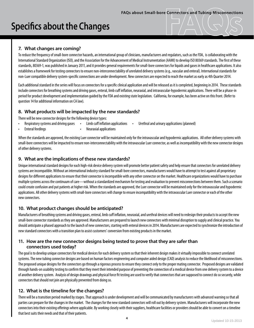### **Specifics about the Changes**

### **7. What changes are coming?**

To reduce the frequency of small-bore connector hazards, an international group of clinicians, manufacturers and regulators, such as the FDA, is collaborating with the International Standard Organization (ISO), and the Association for the Advancement of Medical Instrumentation (AAMI) to develop ISO 80369 standards. The first of these standards, 80369-1, was published in January 2011, and it provides general requirements for small-bore connectors for liquids and gases in healthcare applications. It also establishes a framework for testing connectors to ensure non-interconnectability of unrelated delivery systems (e.g., vascular and enteral). International standards for non-Luer compatible delivery system-specific connections are under development. New connectors are expected to reach the market as early as 4th Quarter 2014.

Each additional standard in the series will focus on connectors for a specific clinical application and will be released as it is completed, beginning in 2014. These standards include connectors for breathing systems and driving gases, enteral, limb cuff inflation, neuraxial, and intravascular-hypodermic applications. There will be a phase-in period for product development and implementation quided by the FDA and existing state legislation. California, for example, has been active on this front. (Refer to question 14 for additional information on CA law).

### **8. What products will be impacted by the new standards?**

There will be new connector designs for the following device types:

- Respiratory systems and driving gases
- Limb cuff inflation applications Urethral and urinary applications (planned)
- **Enteral feedings**
- Neuraxial applications

When the standards are approved, the existing Luer connector will be maintained only for the intravascular and hypodermic applications. All other delivery systems with small-bore connectors will be impacted to ensure non-interconnectability with the intravascular Luer connector, as well as incompatibility with the new connector designs of other delivery systems.

### **9. What are the implications of these new standards?**

Unique international standard designs for each high-risk device delivery system will promote better patient safety and help ensure that connectors for unrelated delivery systems are incompatible. Without an international industry standard for small-bore connectors, manufacturers would have to attempt to test against all proprietary designs for different applications to ensure that their connector is incompatible with any other connector on the market. Healthcare organizations would have to purchase multiple systems across the continuum of care—without a standardized mechanism for testing and evaluation to prevent misconnections between them. Such a scenario could create confusion and put patients at higher risk. When the standards are approved, the Luer connector will be maintained only for the intravascular and hypodermic applications. All other delivery systems with small-bore connectors will change to ensure incompatibility with the intravascular Luer connector or each of the other new connectors.

### **10. What product changes should be anticipated?**

Manufacturers of breathing systems and driving gases, enteral, limb cuff inflation, neuraxial, and urethral devices will need to redesign their products to accept the new small-bore connector standards as they are approved. Manufacturers are prepared to launch new connectors with minimal disruption to supply and clinical practice. You should anticipate a phased approach to the launch of new connectors, starting with enteral devices in 2014. Manufacturers are expected to synchronize the introduction of new standard connectors with a transition plan to assist customers' conversion from existing products in the market.

### **11. How are the new connector designs being tested to prove that they are safer than connectors used today?**

The goal is to develop unique connectors for medical devices for each delivery system so that their inherent design makes it virtually impossible to connect unrelated systems. The new tubing connector designs are based on human factors engineering and computer aided design (CAD) analysis to reduce the likelihood of misconnections. The proposed unique designs for the connectors go through a rigorous process to ensure they connect only to the proper mating connector. Proposed designs are validated through hands-on usability testing to confirm that they meet their intended purpose of preventing the connection of a medical device from one delivery system to a device of another delivery system. Analysis of design drawings and physical force fit testing are used to verify that connectors that are supposed to connect do so securely, while connectors that should not join are physically prevented from doing so.

### **12. What is the timeline for the changes?**

There will be a transition period marked by stages. That approach is under development and will be communicated by manufacturers with advanced warning so that all parties can prepare for the changes in the market. The changes for the new standard connectors will roll out by delivery system. Manufacturers will incorporate the new connectors into their existing offerings where applicable. By working closely with their suppliers, healthcare facilities or providers should be able to convert on a timeline that best suits their needs and that of their patients.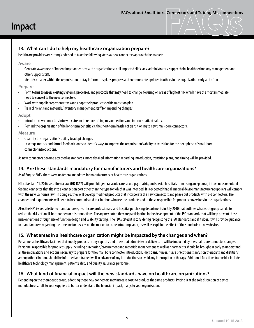### **13. What can I do to help my healthcare organization prepare?**

Healthcare providers are strongly advised to take the following steps as new connectors approach the market:

### **Aware**

- Generate awareness of impending changes across the organizations to all impacted clinicians, administrators, supply chain, health technology management and other support staff.
- Identify a leader within the organization to stay informed as plans progress and communicate updates to others in the organization early and often.

### **Prepare**

- Form teams to assess existing systems, processes, and protocols that may need to change, focusing on areas of highest risk which have the most immediate need to convert to the new connectors.
- Work with supplier representatives and adopt their product specific transition plan.
- Train clinicians and materials/inventory management staff for impending changes.

### **Adopt**

- Introduce new connectors into work stream to reduce tubing misconnections and improve patient safety.
- Remind the organization of the long-term benefits vs. the short-term hassles of transitioning to new small-bore connectors.

### **Measure**

- Quantify the organization's ability to adopt changes.
- Leverage metrics and formal feedback loops to identify ways to improve the organization's ability to transition for the next phase of small-bore connector introductions.

As new connectors become accepted as standards, more detailed information regarding introduction, transition plans, and timing will be provided.

### **14. Are these standards mandatory for manufacturers and healthcare organizations?**

As of August 2013, there were no federal mandates for manufacturers or healthcare organizations.

Effective Jan. 11, 2016, a California law (HB 1867) will prohibit general acute care, acute psychiatric, and special hospitals from using an epidural, intravenous or enteral feeding connector that fits into a connection port other than the type for which it was intended. It is expected that all medical device manufacturers/suppliers will comply with the new California law. In doing so, they will develop modified products that incorporate the new connectors and phase out products with old connectors. The changes and requirements will need to be communicated to clinicians who use the products and to those responsible for product conversions in the organizations.

Also, the FDA issued a letter to manufacturers, healthcare professionals, and hospital purchasing departments in July 2010 that outlines what each group can do to reduce the risks of small-bore connector misconnections. The agency noted they are participating in the development of the ISO standards that will help prevent these misconnections through use of function design and usability testing. The FDA stated it is considering recognizing the ISO standards and if it does, it will provide quidance to manufacturers regarding the timeline for devices on the market to come into compliance, as well as explain the effect of the standards on new devices.

### **15. What areas in a healthcare organization might be impacted by the changes and when?**

Personnel at healthcare facilities that supply products in any capacity and those that administer or deliver care will be impacted by the small-bore connector changes. Personnel responsible for product supply including purchasing/procurement and materials management as well as pharmacists should be brought in early to understand all the implications and actions necessary to prepare for the small bore connector introduction. Physicians, nurses, nurse practitioners, infusion therapists and dietitians, among other clinicians should be informed and trained well in advance of any introductions to avoid any interruption in therapy. Additional functions to consider include healthcare technology management, patient safety and quality assurance personnel.

### **16. What kind of financial impact will the new standards have on healthcare organizations?**

Depending on the therapeutic group, adopting these new connectors may increase costs to produce the same products. Pricing is at the sole discretion of device manufacturers. Talk to your suppliers to better understand the financial impact, if any, to your organization.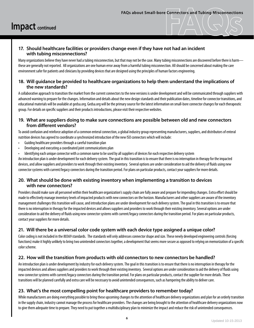### **17. Should healthcare facilities or providers change even if they have not had an incident with tubing misconnections?**

Many organizations believe they have never had a tubing misconnection, but that may not be the case. Many tubing misconnections are discovered before there is harm these are generally not reported. All organizations are one human error away from a harmful tubing misconnection. All should be concerned about making the care environment safer for patients and clinicians by providing devices that are designed using the principles of human factors engineering.

### **18. Will guidance be provided to healthcare organizations to help them understand the implications of the new standards?**

A collaborative approach to transition the market from the current connectors to the new versions is under development and will be communicated through suppliers with advanced warning to prepare for the changes. Information and details about the new design standards and their publication dates, timeline for connector transitions, and educational materials will be available at gedsa.org. Gedsa.org will be the primary source for the latest information on small-bore connector changes for each therapeutic group. For details on specific suppliers and their products introductions, please visit their respective websites.

### **19. What are suppliers doing to make sure connections are possible between old and new connectors from different vendors?**

To avoid confusion and reinforce adoption of a common enteral connection, a global industry group representing manufacturers, suppliers, and distributors of enteral nutrition devices has agreed to coordinate a synchronized introduction of the new ISO connectors which will include:

- Guiding healthcare providers through a careful transition plan
- Developing and executing a coordinated joint communications plan
- Identifying each unique connector with a common name to be used by all suppliers of devices for each respective delivery system

An introduction plan is under development for each delivery system. The goal in this transition is to ensure that there is no interruption in therapy for the impacted devices, and allow suppliers and providers to work through their existing inventory. Several options are under consideration to aid the delivery of fluids using new connector systems with current/legacy connectors during the transition period. For plans on particular products, contact your suppliers for more details.

### **20. What should be done with existing inventory when implementing a transition to devices with new connectors?**

Providers should make sure all personnel within their healthcare organization's supply chain are fully aware and prepare for impending changes. Extra effort should be made to effectively manage inventory levels of impacted products with new connectors on the horizon. Manufacturers and other suppliers are aware of the inventory management challenges this transition will cause, and introduction plans are under development for each delivery system. The goal in this transition is to ensure that there is no interruption in therapy for the impacted devices and allows suppliers and providers to work through their existing inventory. Several options are under consideration to aid the delivery of fluids using new connector systems with current/legacy connectors during the transition period. For plans on particular products, contact your suppliers for more details.

### **21. Will there be a universal color code system with each device type assigned a unique color?**

Color coding is not included in the 80369 standards. The standards will only addresses connector shape and size. These newly developed engineering controls (forcing functions) make it highly unlikely to bring two unintended connectors together, a development that seems more secure as opposed to relying on memorization of a specific color scheme.

### **22. How will the transition from products with old connectors to new connectors be handled?**

An introduction plan is under development by industry for each delivery system. The goal in this transition is to ensure that there is no interruption in therapy for the impacted devices and allows suppliers and providers to work through their existing inventory. Several options are under consideration to aid the delivery of fluids using new connector systems with current/legacy connectors during the transition period. For plans on particular products, contact the supplier for more details. These transitions will be planned carefully and extra care will be necessary to avoid unintended consequences, such as hampering the ability to deliver care.

### **23. What's the most compelling point for healthcare providers to remember today?**

While manufacturers are doing everything possible to bring these upcoming changes to the attention of healthcare delivery organizations and plan for an orderly transition in the supply chain, industry cannot manage the process for healthcare providers. The changes are being brought to the attention of healthcare delivery organizations now to give them adequate time to prepare. They need to put together a multidisciplinary plan to minimize the impact and reduce the risk of unintended consequences.